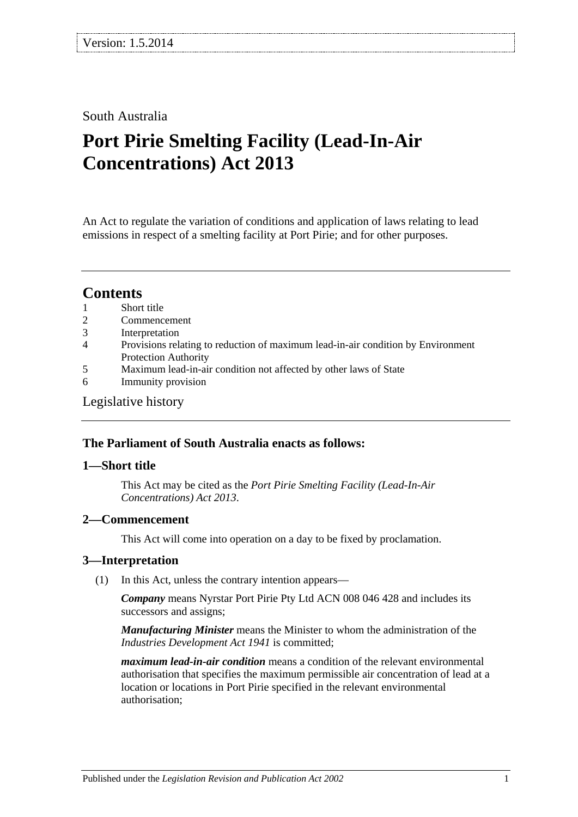### South Australia

# **Port Pirie Smelting Facility (Lead-In-Air Concentrations) Act 2013**

An Act to regulate the variation of conditions and application of laws relating to lead emissions in respect of a smelting facility at Port Pirie; and for other purposes.

## **Contents**

- 1 [Short title](#page-0-0)
- 2 [Commencement](#page-0-1)
- 3 [Interpretation](#page-0-2)
- 4 [Provisions relating to reduction of maximum lead-in-air condition by Environment](#page-1-0)  [Protection Authority](#page-1-0)
- 5 [Maximum lead-in-air condition not affected](#page-2-0) by other laws of State
- 6 [Immunity provision](#page-3-0)

#### [Legislative history](#page-4-0)

#### **The Parliament of South Australia enacts as follows:**

#### <span id="page-0-0"></span>**1—Short title**

This Act may be cited as the *Port Pirie Smelting Facility (Lead-In-Air Concentrations) Act 2013*.

#### <span id="page-0-1"></span>**2—Commencement**

This Act will come into operation on a day to be fixed by proclamation.

#### <span id="page-0-2"></span>**3—Interpretation**

(1) In this Act, unless the contrary intention appears—

*Company* means Nyrstar Port Pirie Pty Ltd ACN 008 046 428 and includes its successors and assigns;

*Manufacturing Minister* means the Minister to whom the administration of the *[Industries Development Act](http://www.legislation.sa.gov.au/index.aspx?action=legref&type=act&legtitle=Industries%20Development%20Act%201941) 1941* is committed;

*maximum lead-in-air condition* means a condition of the relevant environmental authorisation that specifies the maximum permissible air concentration of lead at a location or locations in Port Pirie specified in the relevant environmental authorisation;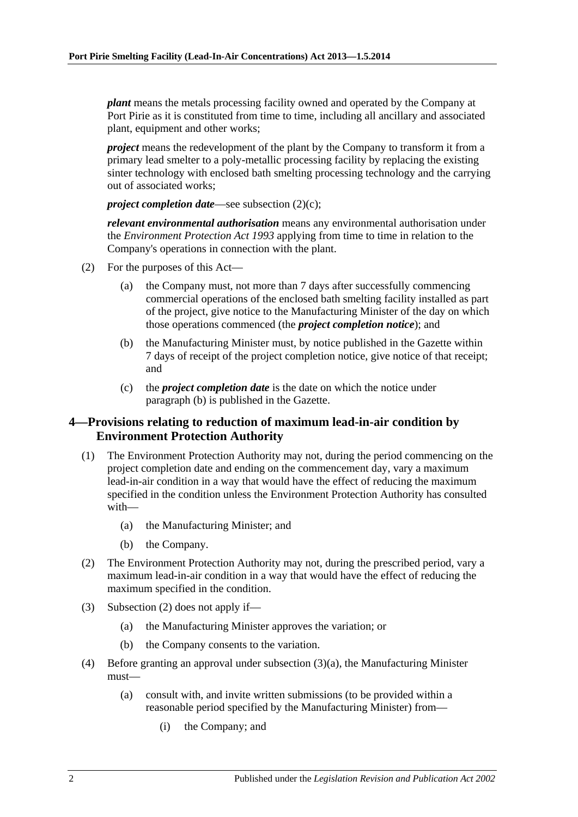*plant* means the metals processing facility owned and operated by the Company at Port Pirie as it is constituted from time to time, including all ancillary and associated plant, equipment and other works;

*project* means the redevelopment of the plant by the Company to transform it from a primary lead smelter to a poly-metallic processing facility by replacing the existing sinter technology with enclosed bath smelting processing technology and the carrying out of associated works;

*project completion date—see [subsection](#page-1-1) (2)(c);* 

*relevant environmental authorisation* means any environmental authorisation under the *[Environment Protection Act](http://www.legislation.sa.gov.au/index.aspx?action=legref&type=act&legtitle=Environment%20Protection%20Act%201993) 1993* applying from time to time in relation to the Company's operations in connection with the plant.

- <span id="page-1-2"></span>(2) For the purposes of this Act—
	- (a) the Company must, not more than 7 days after successfully commencing commercial operations of the enclosed bath smelting facility installed as part of the project, give notice to the Manufacturing Minister of the day on which those operations commenced (the *project completion notice*); and
	- (b) the Manufacturing Minister must, by notice published in the Gazette within 7 days of receipt of the project completion notice, give notice of that receipt; and
	- (c) the *project completion date* is the date on which the notice under [paragraph](#page-1-2) (b) is published in the Gazette.

#### <span id="page-1-1"></span><span id="page-1-0"></span>**4—Provisions relating to reduction of maximum lead-in-air condition by Environment Protection Authority**

- (1) The Environment Protection Authority may not, during the period commencing on the project completion date and ending on the commencement day, vary a maximum lead-in-air condition in a way that would have the effect of reducing the maximum specified in the condition unless the Environment Protection Authority has consulted with—
	- (a) the Manufacturing Minister; and
	- (b) the Company.
- <span id="page-1-3"></span>(2) The Environment Protection Authority may not, during the prescribed period, vary a maximum lead-in-air condition in a way that would have the effect of reducing the maximum specified in the condition.
- <span id="page-1-4"></span>(3) [Subsection](#page-1-3) (2) does not apply if—
	- (a) the Manufacturing Minister approves the variation; or
	- (b) the Company consents to the variation.
- <span id="page-1-5"></span>(4) Before granting an approval under [subsection](#page-1-4) (3)(a), the Manufacturing Minister must—
	- (a) consult with, and invite written submissions (to be provided within a reasonable period specified by the Manufacturing Minister) from—
		- (i) the Company; and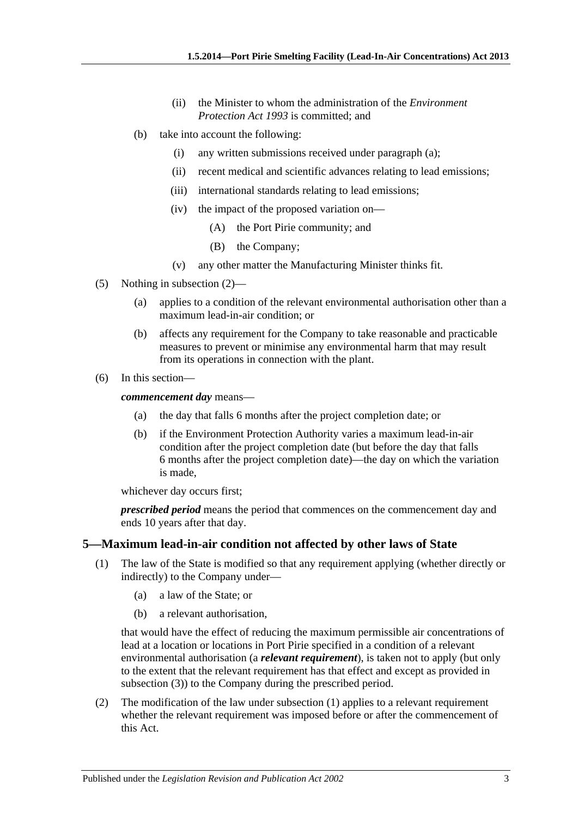- (ii) the Minister to whom the administration of the *[Environment](http://www.legislation.sa.gov.au/index.aspx?action=legref&type=act&legtitle=Environment%20Protection%20Act%201993)  [Protection Act](http://www.legislation.sa.gov.au/index.aspx?action=legref&type=act&legtitle=Environment%20Protection%20Act%201993) 1993* is committed; and
- (b) take into account the following:
	- (i) any written submissions received under [paragraph](#page-1-5) (a);
	- (ii) recent medical and scientific advances relating to lead emissions;
	- (iii) international standards relating to lead emissions;
	- (iv) the impact of the proposed variation on—
		- (A) the Port Pirie community; and
		- (B) the Company;
	- (v) any other matter the Manufacturing Minister thinks fit.
- (5) Nothing in [subsection](#page-1-3) (2)—
	- (a) applies to a condition of the relevant environmental authorisation other than a maximum lead-in-air condition; or
	- (b) affects any requirement for the Company to take reasonable and practicable measures to prevent or minimise any environmental harm that may result from its operations in connection with the plant.
- (6) In this section—

*commencement day* means—

- (a) the day that falls 6 months after the project completion date; or
- (b) if the Environment Protection Authority varies a maximum lead-in-air condition after the project completion date (but before the day that falls 6 months after the project completion date)—the day on which the variation is made,

whichever day occurs first;

*prescribed period* means the period that commences on the commencement day and ends 10 years after that day.

#### <span id="page-2-1"></span><span id="page-2-0"></span>**5—Maximum lead-in-air condition not affected by other laws of State**

- (1) The law of the State is modified so that any requirement applying (whether directly or indirectly) to the Company under—
	- (a) a law of the State; or
	- (b) a relevant authorisation,

that would have the effect of reducing the maximum permissible air concentrations of lead at a location or locations in Port Pirie specified in a condition of a relevant environmental authorisation (a *relevant requirement*), is taken not to apply (but only to the extent that the relevant requirement has that effect and except as provided in [subsection](#page-3-1) (3)) to the Company during the prescribed period.

(2) The modification of the law under [subsection](#page-2-1) (1) applies to a relevant requirement whether the relevant requirement was imposed before or after the commencement of this Act.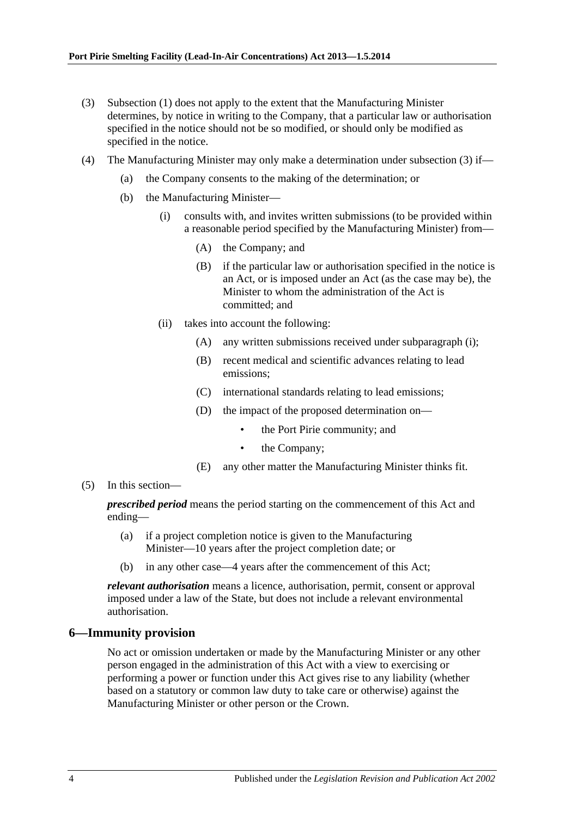- <span id="page-3-1"></span>(3) [Subsection](#page-2-1) (1) does not apply to the extent that the Manufacturing Minister determines, by notice in writing to the Company, that a particular law or authorisation specified in the notice should not be so modified, or should only be modified as specified in the notice.
- <span id="page-3-2"></span>(4) The Manufacturing Minister may only make a determination under [subsection](#page-3-1) (3) if—
	- (a) the Company consents to the making of the determination; or
	- (b) the Manufacturing Minister—
		- (i) consults with, and invites written submissions (to be provided within a reasonable period specified by the Manufacturing Minister) from—
			- (A) the Company; and
			- (B) if the particular law or authorisation specified in the notice is an Act, or is imposed under an Act (as the case may be), the Minister to whom the administration of the Act is committed; and
		- (ii) takes into account the following:
			- (A) any written submissions received under [subparagraph](#page-3-2) (i);
			- (B) recent medical and scientific advances relating to lead emissions;
			- (C) international standards relating to lead emissions;
			- (D) the impact of the proposed determination on
				- the Port Pirie community; and
				- the Company;
			- (E) any other matter the Manufacturing Minister thinks fit.
- (5) In this section—

*prescribed period* means the period starting on the commencement of this Act and ending—

- (a) if a project completion notice is given to the Manufacturing Minister—10 years after the project completion date; or
- (b) in any other case—4 years after the commencement of this Act;

*relevant authorisation* means a licence, authorisation, permit, consent or approval imposed under a law of the State, but does not include a relevant environmental authorisation.

#### <span id="page-3-0"></span>**6—Immunity provision**

No act or omission undertaken or made by the Manufacturing Minister or any other person engaged in the administration of this Act with a view to exercising or performing a power or function under this Act gives rise to any liability (whether based on a statutory or common law duty to take care or otherwise) against the Manufacturing Minister or other person or the Crown.